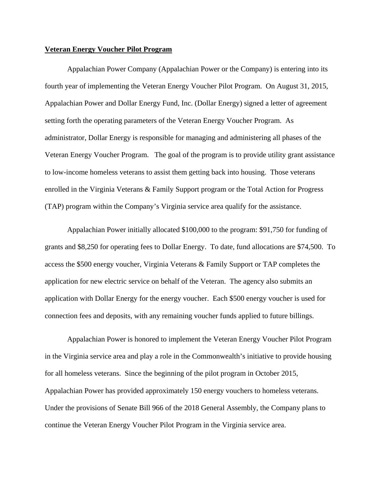## **Veteran Energy Voucher Pilot Program**

Appalachian Power Company (Appalachian Power or the Company) is entering into its fourth year of implementing the Veteran Energy Voucher Pilot Program. On August 31, 2015, Appalachian Power and Dollar Energy Fund, Inc. (Dollar Energy) signed a letter of agreement setting forth the operating parameters of the Veteran Energy Voucher Program. As administrator, Dollar Energy is responsible for managing and administering all phases of the Veteran Energy Voucher Program. The goal of the program is to provide utility grant assistance to low-income homeless veterans to assist them getting back into housing. Those veterans enrolled in the Virginia Veterans & Family Support program or the Total Action for Progress (TAP) program within the Company's Virginia service area qualify for the assistance.

Appalachian Power initially allocated \$100,000 to the program: \$91,750 for funding of grants and \$8,250 for operating fees to Dollar Energy. To date, fund allocations are \$74,500. To access the \$500 energy voucher, Virginia Veterans & Family Support or TAP completes the application for new electric service on behalf of the Veteran. The agency also submits an application with Dollar Energy for the energy voucher. Each \$500 energy voucher is used for connection fees and deposits, with any remaining voucher funds applied to future billings.

Appalachian Power is honored to implement the Veteran Energy Voucher Pilot Program in the Virginia service area and play a role in the Commonwealth's initiative to provide housing for all homeless veterans. Since the beginning of the pilot program in October 2015, Appalachian Power has provided approximately 150 energy vouchers to homeless veterans. Under the provisions of Senate Bill 966 of the 2018 General Assembly, the Company plans to continue the Veteran Energy Voucher Pilot Program in the Virginia service area.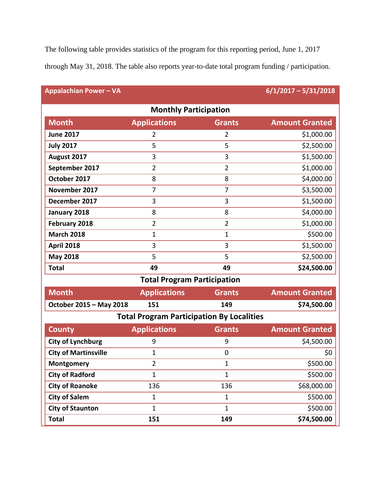The following table provides statistics of the program for this reporting period, June 1, 2017

through May 31, 2018. The table also reports year-to-date total program funding / participation.

| <b>Appalachian Power - VA</b>                    |                     |                | $6/1/2017 - 5/31/2018$ |
|--------------------------------------------------|---------------------|----------------|------------------------|
| <b>Monthly Participation</b>                     |                     |                |                        |
| <b>Month</b>                                     | <b>Applications</b> | <b>Grants</b>  | <b>Amount Granted</b>  |
| <b>June 2017</b>                                 | 2                   | $\overline{2}$ | \$1,000.00             |
| <b>July 2017</b>                                 | 5                   | 5              | \$2,500.00             |
| August 2017                                      | 3                   | 3              | \$1,500.00             |
| September 2017                                   | $\overline{2}$      | $\overline{2}$ | \$1,000.00             |
| October 2017                                     | 8                   | 8              | \$4,000.00             |
| November 2017                                    | 7                   | $\overline{7}$ | \$3,500.00             |
| December 2017                                    | 3                   | 3              | \$1,500.00             |
| January 2018                                     | 8                   | 8              | \$4,000.00             |
| February 2018                                    | $\overline{2}$      | $\overline{2}$ | \$1,000.00             |
| <b>March 2018</b>                                | $\mathbf{1}$        | $\mathbf{1}$   | \$500.00               |
| <b>April 2018</b>                                | 3                   | 3              | \$1,500.00             |
| <b>May 2018</b>                                  | 5                   | 5              | \$2,500.00             |
| <b>Total</b>                                     | 49                  | 49             | \$24,500.00            |
| <b>Total Program Participation</b>               |                     |                |                        |
| <b>Month</b>                                     | <b>Applications</b> | <b>Grants</b>  | <b>Amount Granted</b>  |
| October 2015 - May 2018                          | 151                 | 149            | \$74,500.00            |
| <b>Total Program Participation By Localities</b> |                     |                |                        |
| <b>County</b>                                    | <b>Applications</b> | <b>Grants</b>  | <b>Amount Granted</b>  |
| <b>City of Lynchburg</b>                         | 9                   | 9              | \$4,500.00             |
| <b>City of Martinsville</b>                      | 1                   | $\mathbf 0$    | \$0                    |
| Montgomery                                       | $\overline{2}$      | $\mathbf{1}$   | \$500.00               |
| <b>City of Radford</b>                           | $\mathbf{1}$        | $\mathbf{1}$   | \$500.00               |
| <b>City of Roanoke</b>                           | 136                 | 136            | \$68,000.00            |
| <b>City of Salem</b>                             | $\mathbf{1}$        | $\mathbf{1}$   | \$500.00               |
| <b>City of Staunton</b>                          | $\mathbf{1}$        | $\mathbf{1}$   | \$500.00               |
| <b>Total</b>                                     | 151                 | 149            | \$74,500.00            |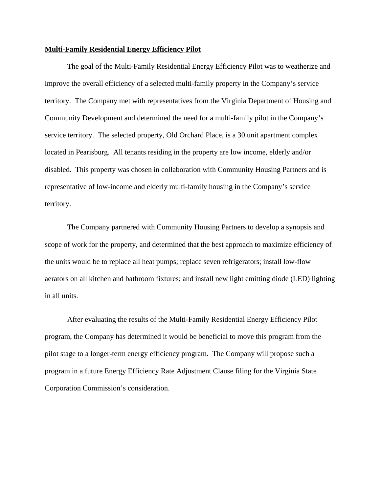## **Multi-Family Residential Energy Efficiency Pilot**

The goal of the Multi-Family Residential Energy Efficiency Pilot was to weatherize and improve the overall efficiency of a selected multi-family property in the Company's service territory. The Company met with representatives from the Virginia Department of Housing and Community Development and determined the need for a multi-family pilot in the Company's service territory. The selected property, Old Orchard Place, is a 30 unit apartment complex located in Pearisburg. All tenants residing in the property are low income, elderly and/or disabled. This property was chosen in collaboration with Community Housing Partners and is representative of low-income and elderly multi-family housing in the Company's service territory.

The Company partnered with Community Housing Partners to develop a synopsis and scope of work for the property, and determined that the best approach to maximize efficiency of the units would be to replace all heat pumps; replace seven refrigerators; install low-flow aerators on all kitchen and bathroom fixtures; and install new light emitting diode (LED) lighting in all units.

After evaluating the results of the Multi-Family Residential Energy Efficiency Pilot program, the Company has determined it would be beneficial to move this program from the pilot stage to a longer-term energy efficiency program. The Company will propose such a program in a future Energy Efficiency Rate Adjustment Clause filing for the Virginia State Corporation Commission's consideration.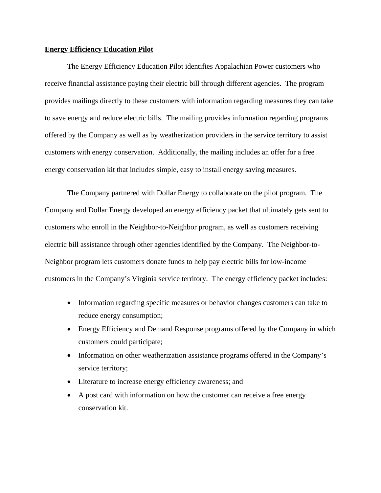## **Energy Efficiency Education Pilot**

The Energy Efficiency Education Pilot identifies Appalachian Power customers who receive financial assistance paying their electric bill through different agencies. The program provides mailings directly to these customers with information regarding measures they can take to save energy and reduce electric bills. The mailing provides information regarding programs offered by the Company as well as by weatherization providers in the service territory to assist customers with energy conservation. Additionally, the mailing includes an offer for a free energy conservation kit that includes simple, easy to install energy saving measures.

The Company partnered with Dollar Energy to collaborate on the pilot program. The Company and Dollar Energy developed an energy efficiency packet that ultimately gets sent to customers who enroll in the Neighbor-to-Neighbor program, as well as customers receiving electric bill assistance through other agencies identified by the Company. The Neighbor-to-Neighbor program lets customers donate funds to help pay electric bills for low-income customers in the Company's Virginia service territory. The energy efficiency packet includes:

- Information regarding specific measures or behavior changes customers can take to reduce energy consumption;
- Energy Efficiency and Demand Response programs offered by the Company in which customers could participate;
- Information on other weatherization assistance programs offered in the Company's service territory;
- Literature to increase energy efficiency awareness; and
- A post card with information on how the customer can receive a free energy conservation kit.